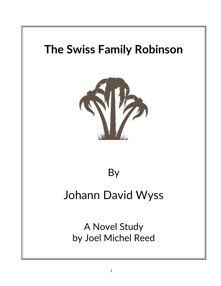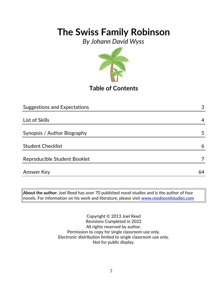*By Johann David Wyss*



**Table of Contents**

| <b>Suggestions and Expectations</b> | 3  |
|-------------------------------------|----|
|                                     |    |
| List of Skills                      | 4  |
|                                     |    |
| Synopsis / Author Biography         | 5  |
|                                     |    |
| <b>Student Checklist</b>            | 6  |
|                                     |    |
| Reproducible Student Booklet        |    |
|                                     |    |
| Answer Key                          | 64 |

**About the author:** Joel Reed has over 70 published novel studies and is the author of four  $|$ novels. For information on his work and literature, please visit  $\overline{\text{www.reednovelstudies.com}}$ 

> Copyright © 2013 Joel Reed Revisions Completed in 2022 All rights reserved by author. Permission to copy for single classroom use only. Electronic distribution limited to single classroom use only. Not for public display.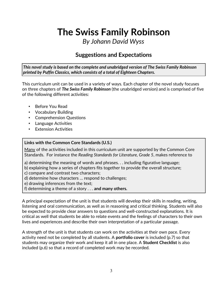*By Johann David Wyss*

### **Suggestions and Expectations**

*This novel study is based on the complete and unabridged version of The Swiss Family Robinson printed by Puffin Classics, which consists of a total of Eighteen Chapters.* 

This curriculum unit can be used in a variety of ways. Each chapter of the novel study focuses on three chapters of *The Swiss Family Robinson* (the unabridged version) and is comprised of five of the following different activities:

- Before You Read
- Vocabulary Building
- Comprehension Questions
- Language Activities
- Extension Activities

#### **Links with the Common Core Standards (U.S.)**

Many of the activities included in this curriculum unit are supported by the Common Core Standards. For instance the *Reading Standards for Literature, Grade 5*, makes reference to

- a) determining the meaning of words and phrases. . . including figurative language;
- b) explaining how a series of chapters fits together to provide the overall structure;
- c) compare and contrast two characters;
- d) determine how characters … respond to challenges;
- e) drawing inferences from the text;
- f) determining a theme of a story . . . **and many others.**

A principal expectation of the unit is that students will develop their skills in reading, writing, listening and oral communication, as well as in reasoning and critical thinking. Students will also be expected to provide clear answers to questions and well-constructed explanations. It is critical as well that students be able to relate events and the feelings of characters to their own lives and experiences and describe their own interpretation of a particular passage.

A strength of the unit is that students can work on the activities at their own pace. Every activity need not be completed by all students. A **portfolio cover** is included (p.7) so that students may organize their work and keep it all in one place. A **Student Checklist** is also included (p.6) so that a record of completed work may be recorded.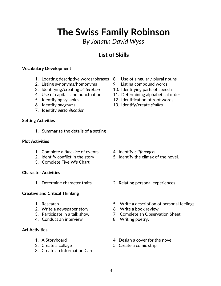*By Johann David Wyss*

### **List of Skills**

#### **Vocabulary Development**

- 1. Locating descriptive words/phrases 8. Use of singular / plural nouns
- 2. Listing synonyms/homonyms 9. Listing compound words
- 3. Identifying/creating *alliteration* 10. Identifying parts of speech
- 
- 
- 
- 7. Identify *personification*

#### **Setting Activities**

1. Summarize the details of a setting

#### **Plot Activities**

- 1. Complete a *time line* of events 4. Identify *cliffhangers*
- 
- 3. Complete Five W's Chart

#### **Character Activities**

#### **Creative and Critical Thinking**

- 
- 2. Write a newspaper story 6. Write a book review
- 
- 4. Conduct an interview 8. Writing poetry.

#### **Art Activities**

- 
- 
- 3. Create an Information Card
- 
- 
- 
- 4. Use of capitals and punctuation 11. Determining alphabetical order
- 5. Identifying syllables 12. Identification of root words
- 6. Identify *anagrams* 13. Identify/create *similes*

- 
- 2. Identify conflict in the story 5. Identify the climax of the novel.
- 1. Determine character traits 2. Relating personal experiences
- 1. Research 5. Write a description of personal feelings
	-
- 3. Participate in a talk show 7. Complete an Observation Sheet
	-
- 1. A Storyboard **1.** A Storyboard **1.** A Storyboard
- 2. Create a collage 5. Create a comic strip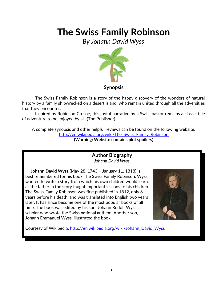*By Johann David Wyss*



The Swiss Family Robinson is a story of the happy discovery of the wonders of natural history by a family shipwrecked on a desert island, who remain united through all the adversities that they encounter.

Inspired by Robinson Crusoe, this joyful narrative by a Swiss pastor remains a classic tale of adventure to be enjoyed by all. (The Publisher)

A complete synopsis and other helpful reviews can be found on the following website: [http://en.wikipedia.org/wiki/The\\_Swiss\\_Family\\_Robinson](http://en.wikipedia.org/wiki/The_Swiss_Family_Robinson) **(Warning: Website contains plot spoilers)**

> **Author Biography** *Johann David Wyss*

 **Johann David Wyss** (May 28, 1743 – January 11, 1818) is best remembered for his book The Swiss Family Robinson. Wyss wanted to write a story from which his own children would learn, as the father in the story taught important lessons to his children. The Swiss Family Robinson was first published in 1812, only 6 years before his death, and was translated into English two years later. It has since become one of the most popular books of all time. The book was edited by his son, Johann Rudolf Wyss, a scholar who wrote the Swiss national anthem. Another son, Johann Emmanuel Wyss, illustrated the book.



Courtesy of Wikipedia. [http://en.wikipedia.org/wiki/Johann\\_David\\_Wyss](http://en.wikipedia.org/wiki/Johann_David_Wyss)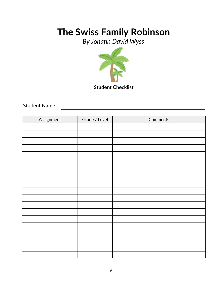*By Johann David Wyss*



**Student Checklist**

Student Name

| Assignment | Grade / Level | Comments |
|------------|---------------|----------|
|            |               |          |
|            |               |          |
|            |               |          |
|            |               |          |
|            |               |          |
|            |               |          |
|            |               |          |
|            |               |          |
|            |               |          |
|            |               |          |
|            |               |          |
|            |               |          |
|            |               |          |
|            |               |          |
|            |               |          |
|            |               |          |
|            |               |          |
|            |               |          |
|            |               |          |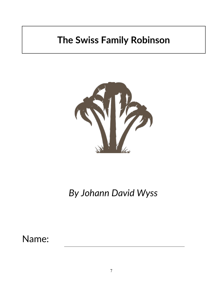

*By Johann David Wyss*

Name: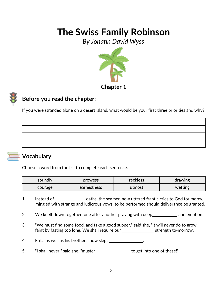*By Johann David Wyss*



### **Before you read the chapter**:

If you were stranded alone on a desert island, what would be your first three priorities and why?



### **Vocabulary:**

Choose a word from the list to complete each sentence.

| soundly<br>prowess     |  | <b>reckless</b> | drawing |
|------------------------|--|-----------------|---------|
| earnestness<br>courage |  | utmost          | wetting |

- 1. Instead of \_\_\_\_\_\_\_\_\_\_\_\_\_\_\_\_ oaths, the seamen now uttered frantic cries to God for mercy, mingled with strange and ludicrous vows, to be performed should deliverance be granted.
- 2. We knelt down together, one after another praying with deep \_\_\_\_\_\_\_\_\_\_\_\_ and emotion.
- 3. "We must find some food, and take a good supper," said she, "it will never do to grow faint by fasting too long. We shall require our \_\_\_\_\_\_\_\_\_\_\_\_\_\_\_\_ strength to-morrow."
- 4. Fritz, as well as his brothers, now slept
- 5. "I shall never," said she, "muster \_\_\_\_\_\_\_\_\_\_\_\_\_\_\_ to get into one of these!"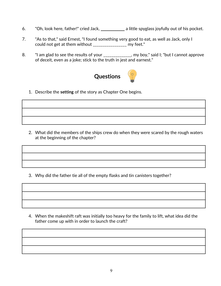- 6. "Oh, look here, father!" cried Jack, \_\_\_\_\_\_\_\_\_\_\_\_ a little spyglass joyfully out of his pocket.
- 7. "As to that," said Ernest, "I found something very good to eat, as well as Jack, only I could not get at them without \_\_\_\_\_\_\_\_\_\_\_\_\_\_\_\_\_ my feet."
- 8. "I am glad to see the results of your \_\_\_\_\_\_\_\_\_\_\_\_, my boy," said I; "but I cannot approve of deceit, even as a joke; stick to the truth in jest and earnest."



1. Describe the **setting** of the story as Chapter One begins.

2. What did the members of the ships crew do when they were scared by the rough waters at the beginning of the chapter?

3. Why did the father tie all of the empty flasks and tin canisters together?

4. When the makeshift raft was initially too heavy for the family to lift, what idea did the father come up with in order to launch the craft?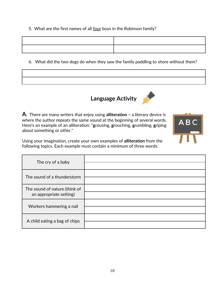5. What are the first names of all four boys in the Robinson family?

6. What did the two dogs do when they saw the family paddling to shore without them?





 $ABC$ 

**A**. There are many writers that enjoy using **alliteration –** a literary device is where the author **r**epeats the same sound at the beginning of several words. Here's an example of an alliteration: "**g**rousing, **g**rouching, **g**rumbling, **g**riping about something or other."

Using your imagination, create your own examples of **alliteration** from the following topics. Each example must contain a minimum of three words.

| The cry of a baby                                        |  |
|----------------------------------------------------------|--|
| The sound of a thunderstorm                              |  |
| The sound of nature (think of<br>an appropriate setting) |  |
| Workers hammering a nail                                 |  |
| A child eating a bag of chips                            |  |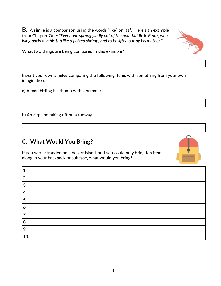**B.** A **simile** is a comparison using the words "like" or "as". Here's an example from Chapter One: *"Every one sprang gladly out of the boat but little Franz, who, lying packed in his tub like a potted shrimp, had to be lifted out by his mother."*



What two things are being compared in this example?



a) A man hitting his thumb with a hammer

b) An airplane taking off on a runway

**C. What Would You Bring?**

If you were stranded on a desert island, and you could only bring ten items along in your backpack or suitcase, what would you bring?



| 1.  |
|-----|
| 2.  |
| 3.  |
| 14. |
| 5.  |
| 6.  |
| 17. |
| 88. |
| 9.  |
| 10. |